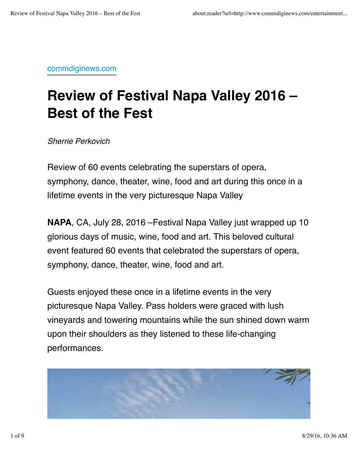commdiginews.com

## **Review of Festival Napa Valley 2016 – Best of the Fest**

*Sherrie Perkovich*

Review of 60 events celebrating the superstars of opera, symphony, dance, theater, wine, food and art during this once in a lifetime events in the very picturesque Napa Valley

**NAPA**, CA, July 28, 2016 –Festival Napa Valley just wrapped up 10 glorious days of music, wine, food and art. This beloved cultural event featured 60 events that celebrated the superstars of opera, symphony, dance, theater, wine, food and art.

Guests enjoyed these once in a lifetime events in the very picturesque Napa Valley. Pass holders were graced with lush vineyards and towering mountains while the sun shined down warm upon their shoulders as they listened to these life-changing performances.

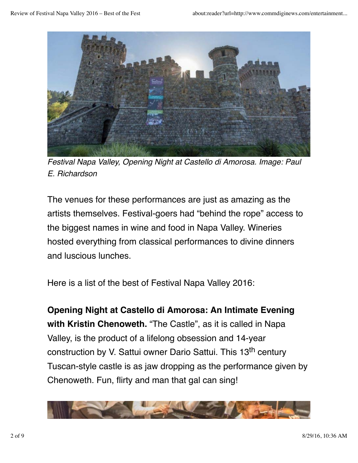

*Festival Napa Valley, Opening Night at Castello di Amorosa. Image: Paul E. Richardson*

The venues for these performances are just as amazing as the artists themselves. Festival-goers had "behind the rope" access to the biggest names in wine and food in Napa Valley. Wineries hosted everything from classical performances to divine dinners and luscious lunches.

Here is a list of the best of Festival Napa Valley 2016:

**Opening Night at Castello di Amorosa: An Intimate Evening with Kristin Chenoweth.** "The Castle", as it is called in Napa Valley, is the product of a lifelong obsession and 14-year construction by V. Sattui owner Dario Sattui. This 13<sup>th</sup> century Tuscan-style castle is as jaw dropping as the performance given by Chenoweth. Fun, flirty and man that gal can sing!

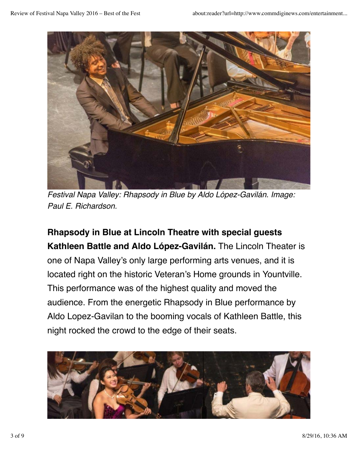

*Festival Napa Valley: Rhapsody in Blue by Aldo López-Gavilán. Image: Paul E. Richardson.*

**Rhapsody in Blue at Lincoln Theatre with special guests Kathleen Battle and Aldo López-Gavilán.** The Lincoln Theater is one of Napa Valley's only large performing arts venues, and it is located right on the historic Veteran's Home grounds in Yountville. This performance was of the highest quality and moved the audience. From the energetic Rhapsody in Blue performance by Aldo Lopez-Gavilan to the booming vocals of Kathleen Battle, this night rocked the crowd to the edge of their seats.

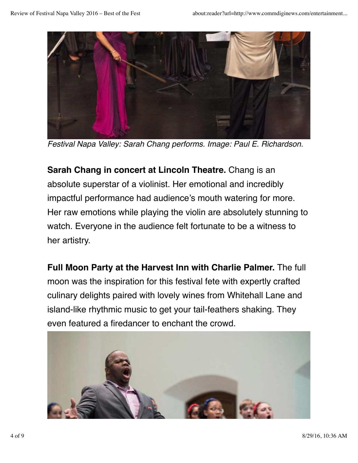

*Festival Napa Valley: Sarah Chang performs. Image: Paul E. Richardson.*

**Sarah Chang in concert at Lincoln Theatre.** Chang is an absolute superstar of a violinist. Her emotional and incredibly impactful performance had audience's mouth watering for more. Her raw emotions while playing the violin are absolutely stunning to watch. Everyone in the audience felt fortunate to be a witness to her artistry.

**Full Moon Party at the Harvest Inn with Charlie Palmer.** The full moon was the inspiration for this festival fete with expertly crafted culinary delights paired with lovely wines from Whitehall Lane and island-like rhythmic music to get your tail-feathers shaking. They even featured a firedancer to enchant the crowd.

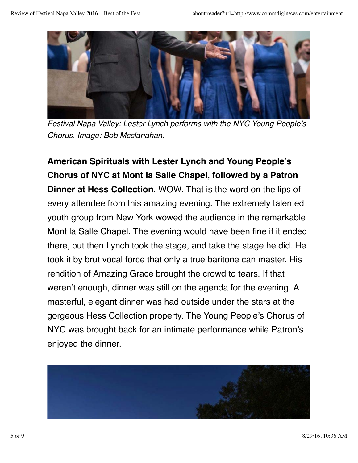

*Festival Napa Valley: Lester Lynch performs with the NYC Young People's Chorus. Image: Bob Mcclanahan.*

**American Spirituals with Lester Lynch and Young People's Chorus of NYC at Mont la Salle Chapel, followed by a Patron Dinner at Hess Collection**. WOW. That is the word on the lips of every attendee from this amazing evening. The extremely talented youth group from New York wowed the audience in the remarkable Mont la Salle Chapel. The evening would have been fine if it ended there, but then Lynch took the stage, and take the stage he did. He took it by brut vocal force that only a true baritone can master. His rendition of Amazing Grace brought the crowd to tears. If that weren't enough, dinner was still on the agenda for the evening. A masterful, elegant dinner was had outside under the stars at the gorgeous Hess Collection property. The Young People's Chorus of NYC was brought back for an intimate performance while Patron's enjoyed the dinner.

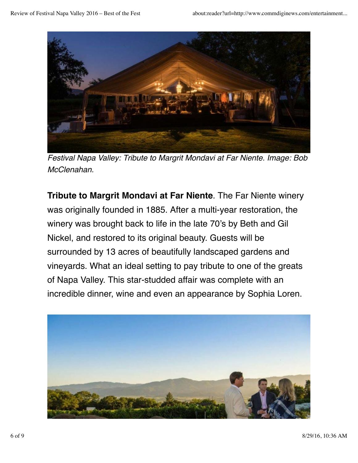

*Festival Napa Valley: Tribute to Margrit Mondavi at Far Niente. Image: Bob McClenahan.*

**Tribute to Margrit Mondavi at Far Niente**. The Far Niente winery was originally founded in 1885. After a multi-year restoration, the winery was brought back to life in the late 70's by Beth and Gil Nickel, and restored to its original beauty. Guests will be surrounded by 13 acres of beautifully landscaped gardens and vineyards. What an ideal setting to pay tribute to one of the greats of Napa Valley. This star-studded affair was complete with an incredible dinner, wine and even an appearance by Sophia Loren.

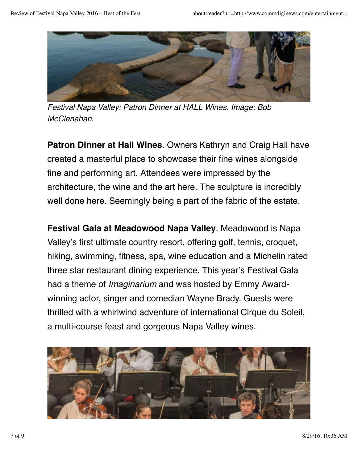

*Festival Napa Valley: Patron Dinner at HALL Wines. Image: Bob McClenahan.*

**Patron Dinner at Hall Wines**. Owners Kathryn and Craig Hall have created a masterful place to showcase their fine wines alongside fine and performing art. Attendees were impressed by the architecture, the wine and the art here. The sculpture is incredibly well done here. Seemingly being a part of the fabric of the estate.

**Festival Gala at Meadowood Napa Valley**. Meadowood is Napa Valley's first ultimate country resort, offering golf, tennis, croquet, hiking, swimming, fitness, spa, wine education and a Michelin rated three star restaurant dining experience. This year's Festival Gala had a theme of *Imaginarium* and was hosted by Emmy Awardwinning actor, singer and comedian Wayne Brady. Guests were thrilled with a whirlwind adventure of international Cirque du Soleil, a multi-course feast and gorgeous Napa Valley wines.

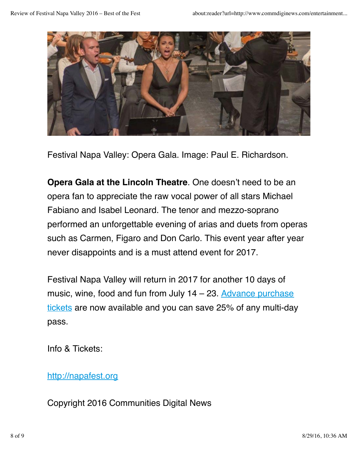

Festival Napa Valley: Opera Gala. Image: Paul E. Richardson.

**Opera Gala at the Lincoln Theatre**. One doesn't need to be an opera fan to appreciate the raw vocal power of all stars Michael Fabiano and Isabel Leonard. The tenor and mezzo-soprano performed an unforgettable evening of arias and duets from operas such as Carmen, Figaro and Don Carlo. This event year after year never disappoints and is a must attend event for 2017.

Festival Napa Valley will return in 2017 for another 10 days of music, wine, food and fun from July  $14 - 23$ . Advance purchase tickets are now available and you can save 25% of any multi-day pass.

Info & Tickets:

## http://napafest.org

Copyright 2016 Communities Digital News